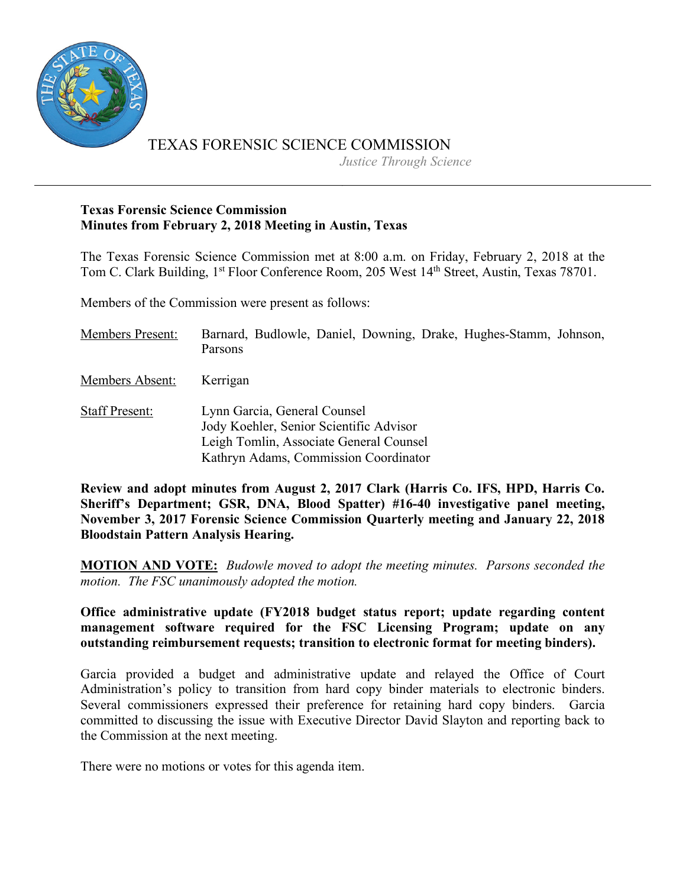

TEXAS FORENSIC SCIENCE COMMISSION

*Justice Through Science*

#### **Texas Forensic Science Commission Minutes from February 2, 2018 Meeting in Austin, Texas**

The Texas Forensic Science Commission met at 8:00 a.m. on Friday, February 2, 2018 at the Tom C. Clark Building, 1<sup>st</sup> Floor Conference Room, 205 West 14<sup>th</sup> Street, Austin, Texas 78701.

Members of the Commission were present as follows:

| <b>Members Present:</b> | Barnard, Budlowle, Daniel, Downing, Drake, Hughes-Stamm, Johnson,<br><b>Parsons</b>                                                                         |
|-------------------------|-------------------------------------------------------------------------------------------------------------------------------------------------------------|
| Members Absent:         | Kerrigan                                                                                                                                                    |
| <b>Staff Present:</b>   | Lynn Garcia, General Counsel<br>Jody Koehler, Senior Scientific Advisor<br>Leigh Tomlin, Associate General Counsel<br>Kathryn Adams, Commission Coordinator |

**Review and adopt minutes from August 2, 2017 Clark (Harris Co. IFS, HPD, Harris Co. Sheriff's Department; GSR, DNA, Blood Spatter) #16-40 investigative panel meeting, November 3, 2017 Forensic Science Commission Quarterly meeting and January 22, 2018 Bloodstain Pattern Analysis Hearing.**

**MOTION AND VOTE:** *Budowle moved to adopt the meeting minutes. Parsons seconded the motion. The FSC unanimously adopted the motion.*

**Office administrative update (FY2018 budget status report; update regarding content management software required for the FSC Licensing Program; update on any outstanding reimbursement requests; transition to electronic format for meeting binders).**

Garcia provided a budget and administrative update and relayed the Office of Court Administration's policy to transition from hard copy binder materials to electronic binders. Several commissioners expressed their preference for retaining hard copy binders. Garcia committed to discussing the issue with Executive Director David Slayton and reporting back to the Commission at the next meeting.

There were no motions or votes for this agenda item.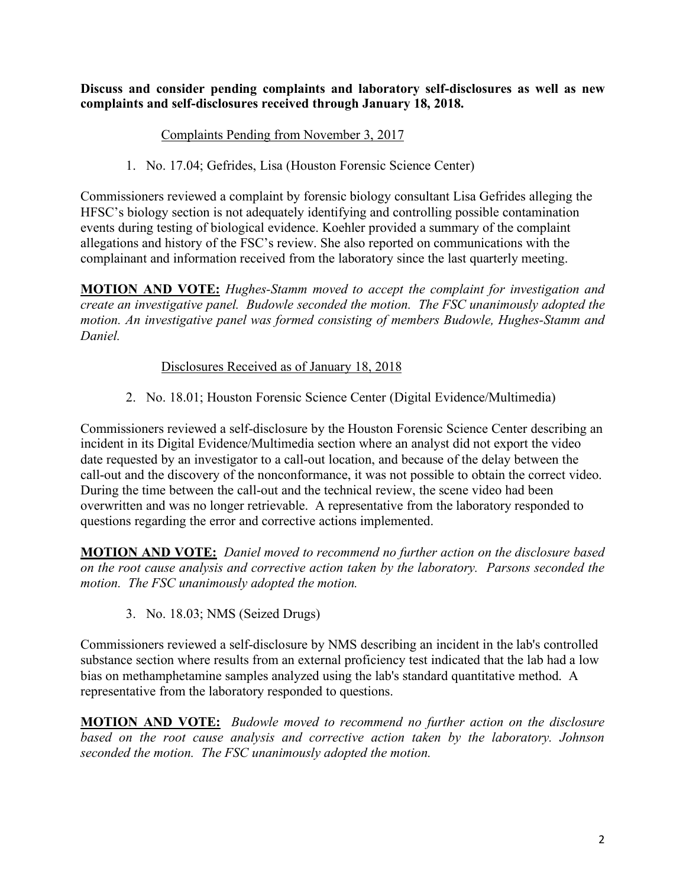**Discuss and consider pending complaints and laboratory self-disclosures as well as new complaints and self-disclosures received through January 18, 2018.**

## Complaints Pending from November 3, 2017

1. No. 17.04; Gefrides, Lisa (Houston Forensic Science Center)

Commissioners reviewed a complaint by forensic biology consultant Lisa Gefrides alleging the HFSC's biology section is not adequately identifying and controlling possible contamination events during testing of biological evidence. Koehler provided a summary of the complaint allegations and history of the FSC's review. She also reported on communications with the complainant and information received from the laboratory since the last quarterly meeting.

**MOTION AND VOTE:** *Hughes-Stamm moved to accept the complaint for investigation and create an investigative panel. Budowle seconded the motion. The FSC unanimously adopted the motion. An investigative panel was formed consisting of members Budowle, Hughes-Stamm and Daniel.*

## Disclosures Received as of January 18, 2018

2. No. 18.01; Houston Forensic Science Center (Digital Evidence/Multimedia)

Commissioners reviewed a self-disclosure by the Houston Forensic Science Center describing an incident in its Digital Evidence/Multimedia section where an analyst did not export the video date requested by an investigator to a call-out location, and because of the delay between the call-out and the discovery of the nonconformance, it was not possible to obtain the correct video. During the time between the call-out and the technical review, the scene video had been overwritten and was no longer retrievable. A representative from the laboratory responded to questions regarding the error and corrective actions implemented.

**MOTION AND VOTE:** *Daniel moved to recommend no further action on the disclosure based on the root cause analysis and corrective action taken by the laboratory. Parsons seconded the motion. The FSC unanimously adopted the motion.*

3. No. 18.03; NMS (Seized Drugs)

Commissioners reviewed a self-disclosure by NMS describing an incident in the lab's controlled substance section where results from an external proficiency test indicated that the lab had a low bias on methamphetamine samples analyzed using the lab's standard quantitative method. A representative from the laboratory responded to questions.

**MOTION AND VOTE:** *Budowle moved to recommend no further action on the disclosure based on the root cause analysis and corrective action taken by the laboratory. Johnson seconded the motion. The FSC unanimously adopted the motion.*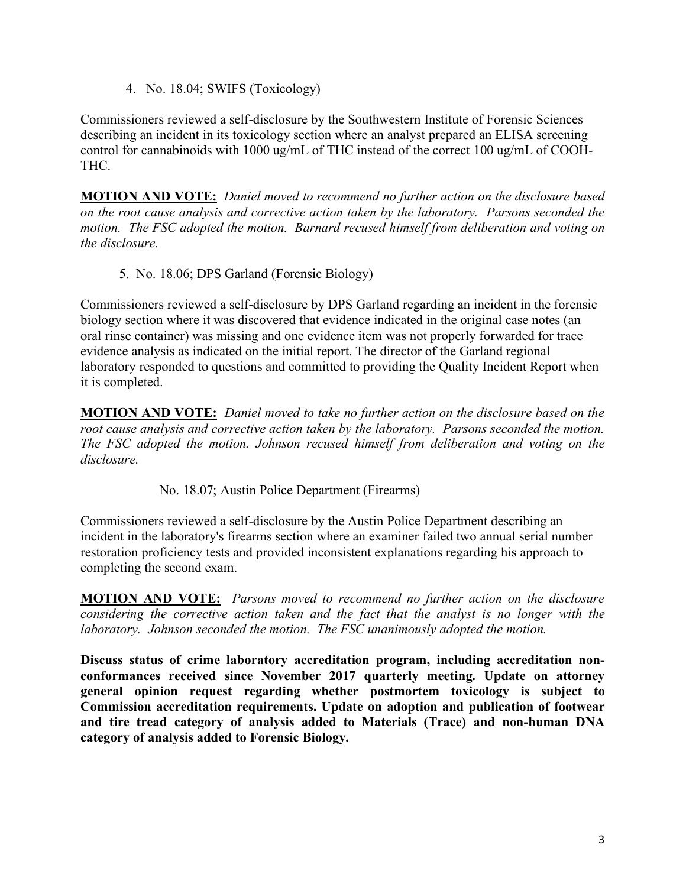4. No. 18.04; SWIFS (Toxicology)

Commissioners reviewed a self-disclosure by the Southwestern Institute of Forensic Sciences describing an incident in its toxicology section where an analyst prepared an ELISA screening control for cannabinoids with 1000 ug/mL of THC instead of the correct 100 ug/mL of COOH-THC.

**MOTION AND VOTE:** *Daniel moved to recommend no further action on the disclosure based on the root cause analysis and corrective action taken by the laboratory. Parsons seconded the motion. The FSC adopted the motion. Barnard recused himself from deliberation and voting on the disclosure.*

5. No. 18.06; DPS Garland (Forensic Biology)

Commissioners reviewed a self-disclosure by DPS Garland regarding an incident in the forensic biology section where it was discovered that evidence indicated in the original case notes (an oral rinse container) was missing and one evidence item was not properly forwarded for trace evidence analysis as indicated on the initial report. The director of the Garland regional laboratory responded to questions and committed to providing the Quality Incident Report when it is completed.

**MOTION AND VOTE:** *Daniel moved to take no further action on the disclosure based on the root cause analysis and corrective action taken by the laboratory. Parsons seconded the motion. The FSC adopted the motion. Johnson recused himself from deliberation and voting on the disclosure.*

No. 18.07; Austin Police Department (Firearms)

Commissioners reviewed a self-disclosure by the Austin Police Department describing an incident in the laboratory's firearms section where an examiner failed two annual serial number restoration proficiency tests and provided inconsistent explanations regarding his approach to completing the second exam.

**MOTION AND VOTE:** *Parsons moved to recommend no further action on the disclosure considering the corrective action taken and the fact that the analyst is no longer with the laboratory. Johnson seconded the motion. The FSC unanimously adopted the motion.*

**Discuss status of crime laboratory accreditation program, including accreditation nonconformances received since November 2017 quarterly meeting. Update on attorney general opinion request regarding whether postmortem toxicology is subject to Commission accreditation requirements. Update on adoption and publication of footwear and tire tread category of analysis added to Materials (Trace) and non-human DNA category of analysis added to Forensic Biology.**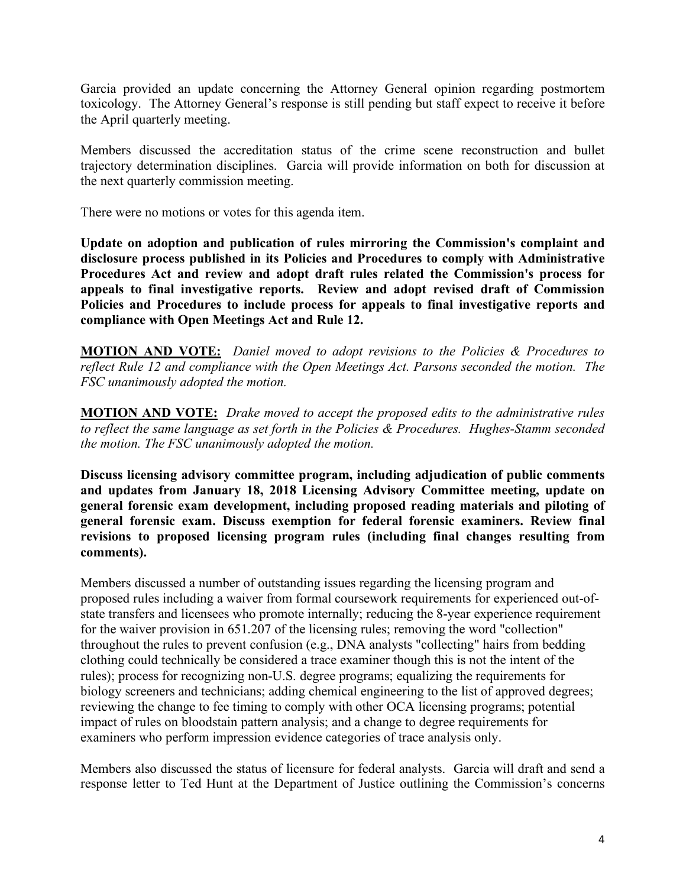Garcia provided an update concerning the Attorney General opinion regarding postmortem toxicology. The Attorney General's response is still pending but staff expect to receive it before the April quarterly meeting.

Members discussed the accreditation status of the crime scene reconstruction and bullet trajectory determination disciplines. Garcia will provide information on both for discussion at the next quarterly commission meeting.

There were no motions or votes for this agenda item.

**Update on adoption and publication of rules mirroring the Commission's complaint and disclosure process published in its Policies and Procedures to comply with Administrative Procedures Act and review and adopt draft rules related the Commission's process for appeals to final investigative reports. Review and adopt revised draft of Commission Policies and Procedures to include process for appeals to final investigative reports and compliance with Open Meetings Act and Rule 12.** 

**MOTION AND VOTE:** *Daniel moved to adopt revisions to the Policies & Procedures to reflect Rule 12 and compliance with the Open Meetings Act. Parsons seconded the motion. The FSC unanimously adopted the motion.*

**MOTION AND VOTE:** *Drake moved to accept the proposed edits to the administrative rules to reflect the same language as set forth in the Policies & Procedures. Hughes-Stamm seconded the motion. The FSC unanimously adopted the motion.*

**Discuss licensing advisory committee program, including adjudication of public comments and updates from January 18, 2018 Licensing Advisory Committee meeting, update on general forensic exam development, including proposed reading materials and piloting of general forensic exam. Discuss exemption for federal forensic examiners. Review final revisions to proposed licensing program rules (including final changes resulting from comments).**

Members discussed a number of outstanding issues regarding the licensing program and proposed rules including a waiver from formal coursework requirements for experienced out-ofstate transfers and licensees who promote internally; reducing the 8-year experience requirement for the waiver provision in 651.207 of the licensing rules; removing the word "collection" throughout the rules to prevent confusion (e.g., DNA analysts "collecting" hairs from bedding clothing could technically be considered a trace examiner though this is not the intent of the rules); process for recognizing non-U.S. degree programs; equalizing the requirements for biology screeners and technicians; adding chemical engineering to the list of approved degrees; reviewing the change to fee timing to comply with other OCA licensing programs; potential impact of rules on bloodstain pattern analysis; and a change to degree requirements for examiners who perform impression evidence categories of trace analysis only.

Members also discussed the status of licensure for federal analysts. Garcia will draft and send a response letter to Ted Hunt at the Department of Justice outlining the Commission's concerns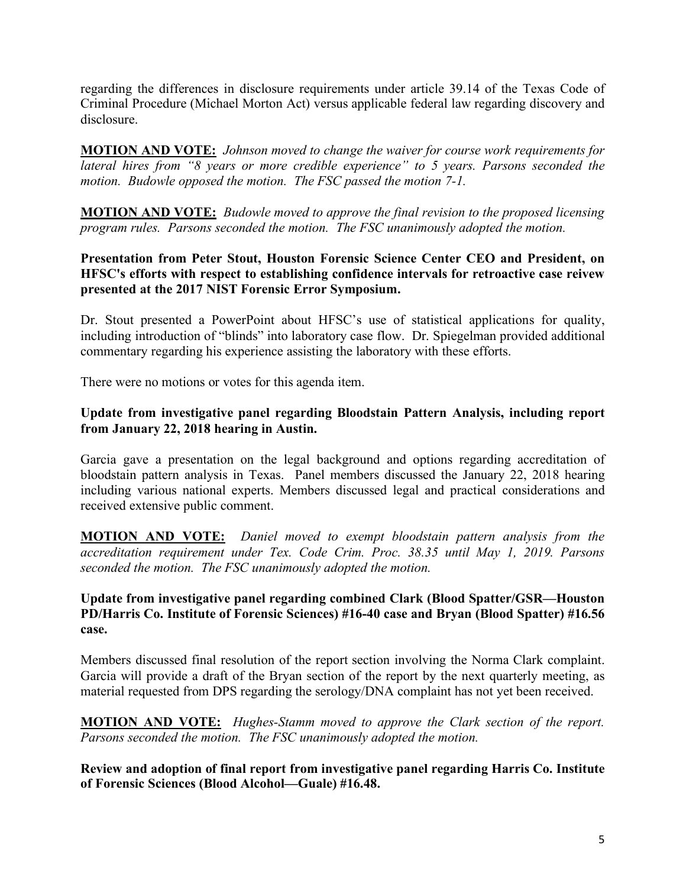regarding the differences in disclosure requirements under article 39.14 of the Texas Code of Criminal Procedure (Michael Morton Act) versus applicable federal law regarding discovery and disclosure.

**MOTION AND VOTE:** *Johnson moved to change the waiver for course work requirements for lateral hires from "8 years or more credible experience" to 5 years. Parsons seconded the motion. Budowle opposed the motion. The FSC passed the motion 7-1.*

**MOTION AND VOTE:** *Budowle moved to approve the final revision to the proposed licensing program rules. Parsons seconded the motion. The FSC unanimously adopted the motion.*

## **Presentation from Peter Stout, Houston Forensic Science Center CEO and President, on HFSC's efforts with respect to establishing confidence intervals for retroactive case reivew presented at the 2017 NIST Forensic Error Symposium.**

Dr. Stout presented a PowerPoint about HFSC's use of statistical applications for quality, including introduction of "blinds" into laboratory case flow. Dr. Spiegelman provided additional commentary regarding his experience assisting the laboratory with these efforts.

There were no motions or votes for this agenda item.

### **Update from investigative panel regarding Bloodstain Pattern Analysis, including report from January 22, 2018 hearing in Austin.**

Garcia gave a presentation on the legal background and options regarding accreditation of bloodstain pattern analysis in Texas. Panel members discussed the January 22, 2018 hearing including various national experts. Members discussed legal and practical considerations and received extensive public comment.

**MOTION AND VOTE:** *Daniel moved to exempt bloodstain pattern analysis from the accreditation requirement under Tex. Code Crim. Proc. 38.35 until May 1, 2019. Parsons seconded the motion. The FSC unanimously adopted the motion.*

### **Update from investigative panel regarding combined Clark (Blood Spatter/GSR—Houston PD/Harris Co. Institute of Forensic Sciences) #16-40 case and Bryan (Blood Spatter) #16.56 case.**

Members discussed final resolution of the report section involving the Norma Clark complaint. Garcia will provide a draft of the Bryan section of the report by the next quarterly meeting, as material requested from DPS regarding the serology/DNA complaint has not yet been received.

**MOTION AND VOTE:** *Hughes-Stamm moved to approve the Clark section of the report. Parsons seconded the motion. The FSC unanimously adopted the motion.*

**Review and adoption of final report from investigative panel regarding Harris Co. Institute of Forensic Sciences (Blood Alcohol—Guale) #16.48.**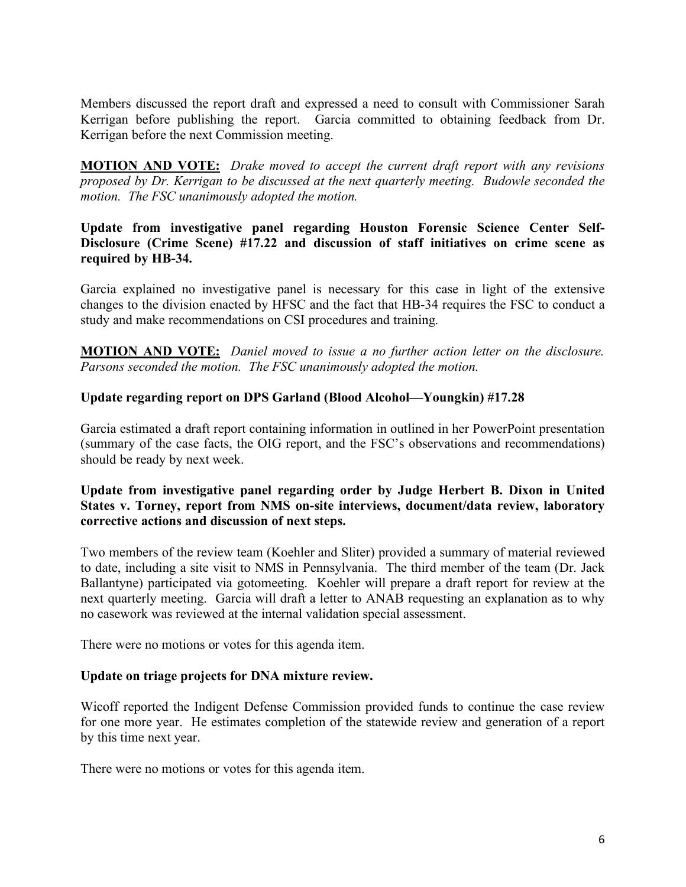Members discussed the report draft and expressed a need to consult with Commissioner Sarah Kerrigan before publishing the report. Garcia committed to obtaining feedback from Dr. Kerrigan before the next Commission meeting.

**MOTION AND VOTE:** *Drake moved to accept the current draft report with any revisions proposed by Dr. Kerrigan to be discussed at the next quarterly meeting. Budowle seconded the motion. The FSC unanimously adopted the motion.*

## **Update from investigative panel regarding Houston Forensic Science Center Self-Disclosure (Crime Scene) #17.22 and discussion of staff initiatives on crime scene as required by HB-34.**

Garcia explained no investigative panel is necessary for this case in light of the extensive changes to the division enacted by HFSC and the fact that HB-34 requires the FSC to conduct a study and make recommendations on CSI procedures and training.

**MOTION AND VOTE:** *Daniel moved to issue a no further action letter on the disclosure. Parsons seconded the motion. The FSC unanimously adopted the motion.*

## **Update regarding report on DPS Garland (Blood Alcohol—Youngkin) #17.28**

Garcia estimated a draft report containing information in outlined in her PowerPoint presentation (summary of the case facts, the OIG report, and the FSC's observations and recommendations) should be ready by next week.

### **Update from investigative panel regarding order by Judge Herbert B. Dixon in United States v. Torney, report from NMS on-site interviews, document/data review, laboratory corrective actions and discussion of next steps.**

Two members of the review team (Koehler and Sliter) provided a summary of material reviewed to date, including a site visit to NMS in Pennsylvania. The third member of the team (Dr. Jack Ballantyne) participated via gotomeeting. Koehler will prepare a draft report for review at the next quarterly meeting. Garcia will draft a letter to ANAB requesting an explanation as to why no casework was reviewed at the internal validation special assessment.

There were no motions or votes for this agenda item.

## **Update on triage projects for DNA mixture review.**

Wicoff reported the Indigent Defense Commission provided funds to continue the case review for one more year. He estimates completion of the statewide review and generation of a report by this time next year.

There were no motions or votes for this agenda item.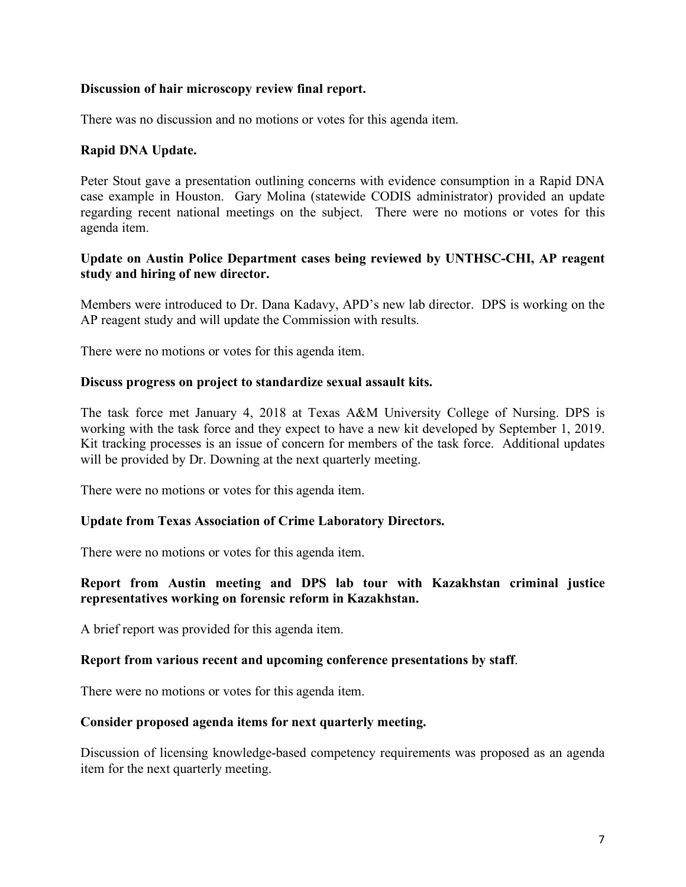#### **Discussion of hair microscopy review final report.**

There was no discussion and no motions or votes for this agenda item.

### **Rapid DNA Update.**

Peter Stout gave a presentation outlining concerns with evidence consumption in a Rapid DNA case example in Houston. Gary Molina (statewide CODIS administrator) provided an update regarding recent national meetings on the subject. There were no motions or votes for this agenda item.

#### **Update on Austin Police Department cases being reviewed by UNTHSC-CHI, AP reagent study and hiring of new director.**

Members were introduced to Dr. Dana Kadavy, APD's new lab director. DPS is working on the AP reagent study and will update the Commission with results.

There were no motions or votes for this agenda item.

#### **Discuss progress on project to standardize sexual assault kits.**

The task force met January 4, 2018 at Texas A&M University College of Nursing. DPS is working with the task force and they expect to have a new kit developed by September 1, 2019. Kit tracking processes is an issue of concern for members of the task force. Additional updates will be provided by Dr. Downing at the next quarterly meeting.

There were no motions or votes for this agenda item.

#### **Update from Texas Association of Crime Laboratory Directors.**

There were no motions or votes for this agenda item.

#### **Report from Austin meeting and DPS lab tour with Kazakhstan criminal justice representatives working on forensic reform in Kazakhstan.**

A brief report was provided for this agenda item.

#### **Report from various recent and upcoming conference presentations by staff**.

There were no motions or votes for this agenda item.

#### **Consider proposed agenda items for next quarterly meeting.**

Discussion of licensing knowledge-based competency requirements was proposed as an agenda item for the next quarterly meeting.